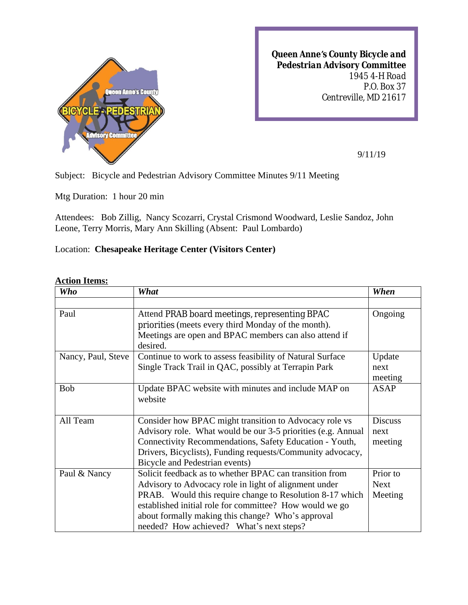

*Queen Anne's County Bicycle and Pedestrian Advisory Committee 1945 4-H Road P.O. Box 37 Centreville, MD 21617*

9/11/19

Subject: Bicycle and Pedestrian Advisory Committee Minutes 9/11 Meeting

Mtg Duration: 1 hour 20 min

Attendees: Bob Zillig, Nancy Scozarri, Crystal Crismond Woodward, Leslie Sandoz, John Leone, Terry Morris, Mary Ann Skilling (Absent: Paul Lombardo)

## Location: **Chesapeake Heritage Center (Visitors Center)**

## **Action Items:**

| <b>Who</b>         | What                                                              | When           |
|--------------------|-------------------------------------------------------------------|----------------|
|                    |                                                                   |                |
| Paul               | Attend PRAB board meetings, representing BPAC                     | Ongoing        |
|                    | priorities (meets every third Monday of the month).               |                |
|                    | Meetings are open and BPAC members can also attend if<br>desired. |                |
| Nancy, Paul, Steve | Continue to work to assess feasibility of Natural Surface         | Update         |
|                    | Single Track Trail in QAC, possibly at Terrapin Park              | next           |
|                    |                                                                   | meeting        |
| <b>Bob</b>         | Update BPAC website with minutes and include MAP on               | <b>ASAP</b>    |
|                    | website                                                           |                |
|                    |                                                                   |                |
| All Team           | Consider how BPAC might transition to Advocacy role vs            | <b>Discuss</b> |
|                    | Advisory role. What would be our 3-5 priorities (e.g. Annual      | next           |
|                    | Connectivity Recommendations, Safety Education - Youth,           | meeting        |
|                    | Drivers, Bicyclists), Funding requests/Community advocacy,        |                |
|                    | Bicycle and Pedestrian events)                                    |                |
| Paul & Nancy       | Solicit feedback as to whether BPAC can transition from           | Prior to       |
|                    | Advisory to Advocacy role in light of alignment under             | <b>Next</b>    |
|                    | PRAB. Would this require change to Resolution 8-17 which          | Meeting        |
|                    | established initial role for committee? How would we go           |                |
|                    | about formally making this change? Who's approval                 |                |
|                    | needed? How achieved? What's next steps?                          |                |